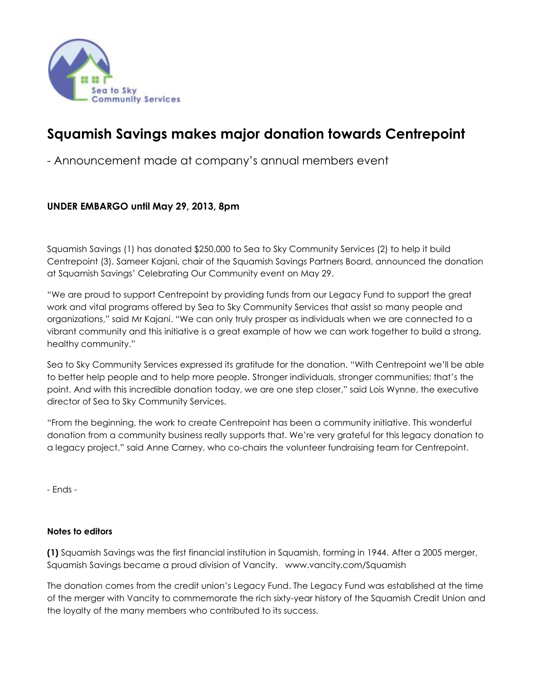

## **Squamish Savings makes major donation towards Centrepoint**

- Announcement made at company's annual members event

## **UNDER EMBARGO until May 29, 2013, 8pm**

Squamish Savings (1) has donated \$250,000 to Sea to Sky Community Services (2) to help it build Centrepoint (3). Sameer Kajani, chair of the Squamish Savings Partners Board, announced the donation at Squamish Savings' Celebrating Our Community event on May 29.

"We are proud to support Centrepoint by providing funds from our Legacy Fund to support the great work and vital programs offered by Sea to Sky Community Services that assist so many people and organizations," said Mr Kajani. "We can only truly prosper as individuals when we are connected to a vibrant community and this initiative is a great example of how we can work together to build a strong, healthy community."

Sea to Sky Community Services expressed its gratitude for the donation. "With Centrepoint we'll be able to better help people and to help more people. Stronger individuals, stronger communities; that's the point. And with this incredible donation today, we are one step closer," said Lois Wynne, the executive director of Sea to Sky Community Services.

"From the beginning, the work to create Centrepoint has been a community initiative. This wonderful donation from a community business really supports that. We're very grateful for this legacy donation to a legacy project," said Anne Carney, who co-chairs the volunteer fundraising team for Centrepoint.

- Ends -

## **Notes to editors**

**(1)** Squamish Savings was the first financial institution in Squamish, forming in 1944. After a 2005 merger, Squamish Savings became a proud division of Vancity. www.vancity.com/Squamish

The donation comes from the credit union's Legacy Fund. The Legacy Fund was established at the time of the merger with Vancity to commemorate the rich sixty-year history of the Squamish Credit Union and the loyalty of the many members who contributed to its success.